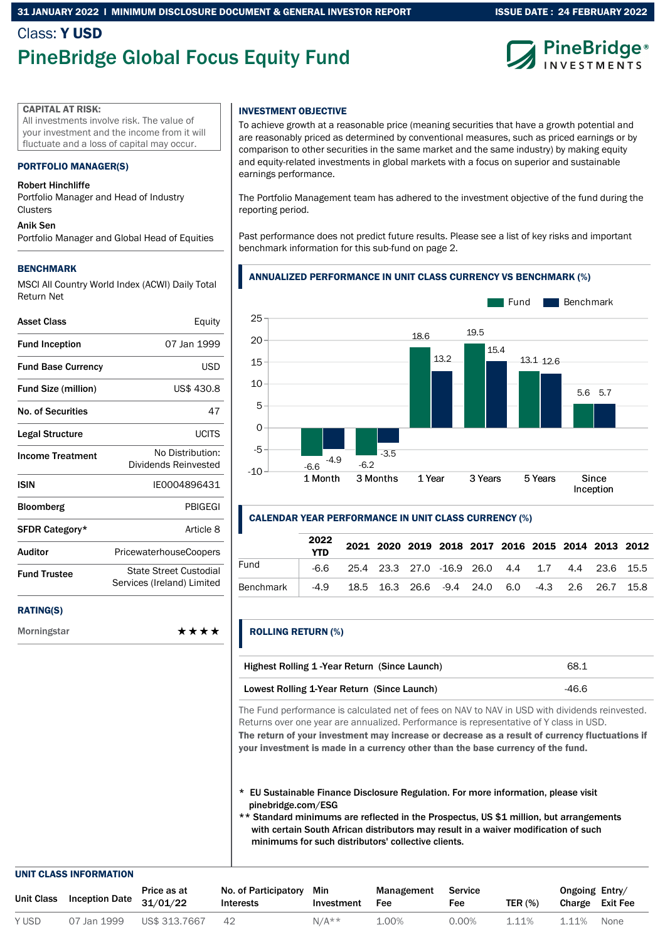### 31 JANUARY 2022 l MINIMUM DISCLOSURE DOCUMENT & GENERAL INVESTOR REPORT

## Class: Y USD PineBridge Global Focus Equity Fund



ISSUE DATE : 24 FEBRUARY 2022

#### CAPITAL AT RISK:

All investments involve risk. The value of your investment and the income from it will fluctuate and a loss of capital may occur.

#### PORTFOLIO MANAGER(S)

#### Robert Hinchliffe

Portfolio Manager and Head of Industry **Clusters** 

#### Anik Sen

Portfolio Manager and Global Head of Equities

#### BENCHMARK

MSCI All Country World Index (ACWI) Daily Total Return Net

| Asset Class                | Equity                                               |
|----------------------------|------------------------------------------------------|
| <b>Fund Inception</b>      | 07 Jan 1999                                          |
| <b>Fund Base Currency</b>  | USD                                                  |
| <b>Fund Size (million)</b> | US\$ 430.8                                           |
| <b>No. of Securities</b>   | 47                                                   |
| <b>Legal Structure</b>     | <b>UCITS</b>                                         |
| <b>Income Treatment</b>    | No Distribution:<br>Dividends Reinvested             |
| <b>ISIN</b>                | IF0004896431                                         |
| <b>Bloomberg</b>           | <b>PBIGEGI</b>                                       |
| SFDR Category*             | Article 8                                            |
| Auditor                    | <b>PricewaterhouseCoopers</b>                        |
| <b>Fund Trustee</b>        | State Street Custodial<br>Services (Ireland) Limited |
| <b>RATING(S)</b>           |                                                      |

Morningstar \*\*\*\*

### INVESTMENT OBJECTIVE

To achieve growth at a reasonable price (meaning securities that have a growth potential and are reasonably priced as determined by conventional measures, such as priced earnings or by comparison to other securities in the same market and the same industry) by making equity and equity-related investments in global markets with a focus on superior and sustainable earnings performance.

The Portfolio Management team has adhered to the investment objective of the fund during the reporting period.

Past performance does not predict future results. Please see a list of key risks and important benchmark information for this sub-fund on page 2.

### ANNUALIZED PERFORMANCE IN UNIT CLASS CURRENCY VS BENCHMARK (%)



#### CALENDAR YEAR PERFORMANCE IN UNIT CLASS CURRENCY (%)

|           | 2022<br><b>YTD</b> |                                                      |  |  |  |  | 2021 2020 2019 2018 2017 2016 2015 2014 2013 2012 |
|-----------|--------------------|------------------------------------------------------|--|--|--|--|---------------------------------------------------|
| Fund      |                    | -6.6 25.4 23.3 27.0 -16.9 26.0 4.4 1.7 4.4 23.6 15.5 |  |  |  |  |                                                   |
| Benchmark |                    | -4.9 18.5 16.3 26.6 -9.4 24.0 6.0 -4.3 2.6 26.7 15.8 |  |  |  |  |                                                   |

### ROLLING RETURN (%)

| Highest Rolling 1-Year Return (Since Launch) | 68.1  |
|----------------------------------------------|-------|
| Lowest Rolling 1-Year Return (Since Launch)  | -46.6 |

The Fund performance is calculated net of fees on NAV to NAV in USD with dividends reinvested. Returns over one year are annualized. Performance is representative of Y class in USD. The return of your investment may increase or decrease as a result of currency fluctuations if

your investment is made in a currency other than the base currency of the fund.

- \* EU Sustainable Finance Disclosure Regulation. For more information, please visit pinebridge.com/ESG
- \*\* Standard minimums are reflected in the Prospectus, US \$1 million, but arrangements with certain South African distributors may result in a waiver modification of such minimums for such distributors' collective clients.

#### UNIT CLASS INFORMATION

| Unit Class | <b>Inception Date</b> | Price as at<br>31/01/22 | No. of Participatory Min<br>Interests | Investment | Management<br>Fee | Service<br>Fee | <b>TER (%)</b> | Ongoing Entry/<br>Charge Exit Fee |      |
|------------|-----------------------|-------------------------|---------------------------------------|------------|-------------------|----------------|----------------|-----------------------------------|------|
| Y USD      | 07 Jan 1999           | US\$ 313.7667           | 42                                    | $N/A**$    | 1.00%             | 0.00%          | 1.11%          | 1.11%                             | None |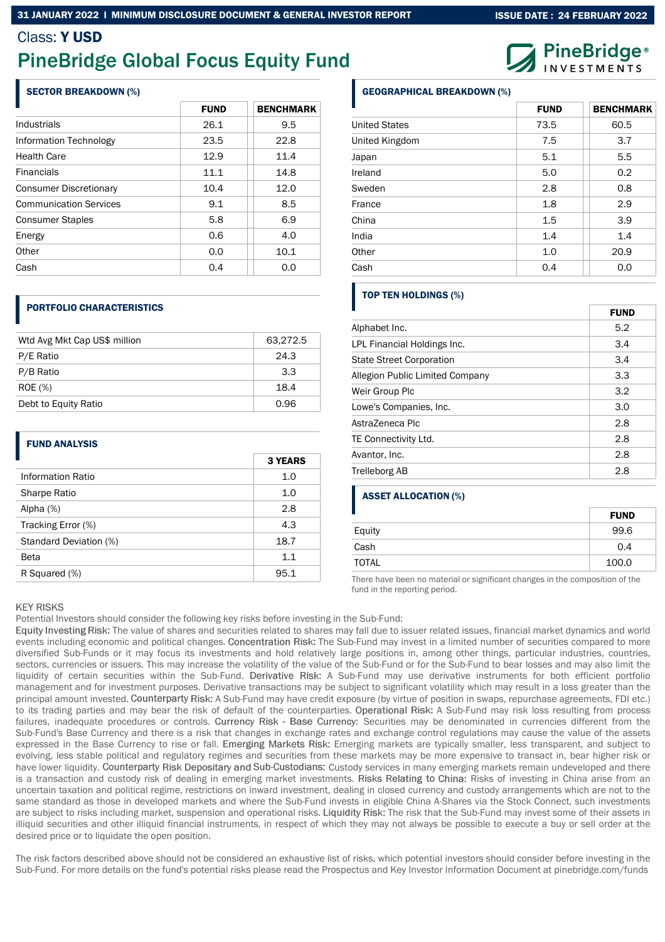## Class: Y USD

# PineBridge Global Focus Equity Fund

### SECTOR BREAKDOWN (%)

|                               | <b>FUND</b> | <b>BENCHMARK</b> |
|-------------------------------|-------------|------------------|
| Industrials                   | 26.1        | 9.5              |
| Information Technology        | 23.5        | 22.8             |
| <b>Health Care</b>            | 12.9        | 11.4             |
| <b>Financials</b>             | 11.1        | 14.8             |
| <b>Consumer Discretionary</b> | 10.4        | 12.0             |
| <b>Communication Services</b> | 9.1         | 8.5              |
| <b>Consumer Staples</b>       | 5.8         | 6.9              |
| Energy                        | 0.6         | 4.0              |
| Other                         | 0.0         | 10.1             |
| Cash                          | 0.4         | 0.0              |

### PORTFOLIO CHARACTERISTICS

| Wtd Avg Mkt Cap US\$ million | 63,272.5 |
|------------------------------|----------|
| P/E Ratio                    | 24.3     |
| P/B Ratio                    | 3.3      |
| <b>ROE</b> (%)               | 18.4     |
| Debt to Equity Ratio         | 0.96     |

### FUND ANALYSIS

| H                      | <b>3 YEARS</b> |
|------------------------|----------------|
| Information Ratio      | 1.0            |
| Sharpe Ratio           | 1.0            |
| Alpha $(%)$            | 2.8            |
| Tracking Error (%)     | 4.3            |
| Standard Deviation (%) | 18.7           |
| Beta                   | 1.1            |
| R Squared (%)          | 95.1           |

### GEOGRAPHICAL BREAKDOWN (%)

|                      | <b>FUND</b> | <b>BENCHMARK</b> |
|----------------------|-------------|------------------|
| <b>United States</b> | 73.5        | 60.5             |
| United Kingdom       | 7.5         | 3.7              |
| Japan                | 5.1         | 5.5              |
| Ireland              | 5.0         | 0.2              |
| Sweden               | 2.8         | 0.8              |
| France               | 1.8         | 2.9              |
| China                | 1.5         | 3.9              |
| India                | 1.4         | 1.4              |
| Other                | 1.0         | 20.9             |
| Cash                 | 0.4         | 0.0              |

## TOP TEN HOLDINGS (%)

|                                 | <b>FUND</b> |
|---------------------------------|-------------|
| Alphabet Inc.                   | 5.2         |
| LPL Financial Holdings Inc.     | 3.4         |
| <b>State Street Corporation</b> | 3.4         |
| Allegion Public Limited Company | 3.3         |
| Weir Group Plc                  | 3.2         |
| Lowe's Companies, Inc.          | 3.0         |
| AstraZeneca Plc                 | 2.8         |
| TE Connectivity Ltd.            | 2.8         |
| Avantor, Inc.                   | 2.8         |
| <b>Trelleborg AB</b>            | 2.8         |

### ASSET ALLOCATION (%)

|        | <b>FUND</b> |
|--------|-------------|
| Equity | 99.6        |
| Cash   | 0.4         |
| TOTAL  | 100.0       |

There have been no material or significant changes in the composition of the fund in the reporting period.

### **KEY RISKS**

Potential Investors should consider the following key risks before investing in the Sub-Fund:

Equity Investing Risk: The value of shares and securities related to shares may fall due to issuer related issues, financial market dynamics and world events including economic and political changes. Concentration Risk: The Sub-Fund may invest in a limited number of securities compared to more diversified Sub-Funds or it may focus its investments and hold relatively large positions in, among other things, particular industries, countries, sectors, currencies or issuers. This may increase the volatility of the value of the Sub-Fund or for the Sub-Fund to bear losses and may also limit the liquidity of certain securities within the Sub-Fund. Derivative Risk: A Sub-Fund may use derivative instruments for both efficient portfolio management and for investment purposes. Derivative transactions may be subject to significant volatility which may result in a loss greater than the principal amount invested. Counterparty Risk: A Sub-Fund may have credit exposure (by virtue of position in swaps, repurchase agreements, FDI etc.) to its trading parties and may bear the risk of default of the counterparties. Operational Risk: A Sub-Fund may risk loss resulting from process failures, inadequate procedures or controls. Currency Risk - Base Currency: Securities may be denominated in currencies different from the Sub-Fund's Base Currency and there is a risk that changes in exchange rates and exchange control regulations may cause the value of the assets expressed in the Base Currency to rise or fall. Emerging Markets Risk: Emerging markets are typically smaller, less transparent, and subject to evolving, less stable political and regulatory regimes and securities from these markets may be more expensive to transact in, bear higher risk or have lower liquidity. Counterparty Risk Depositary and Sub-Custodians: Custody services in many emerging markets remain undeveloped and there is a transaction and custody risk of dealing in emerging market investments. Risks Relating to China: Risks of investing in China arise from an uncertain taxation and political regime, restrictions on inward investment, dealing in closed currency and custody arrangements which are not to the same standard as those in developed markets and where the Sub-Fund invests in eligible China A-Shares via the Stock Connect, such investments are subject to risks including market, suspension and operational risks. Liquidity Risk: The risk that the Sub-Fund may invest some of their assets in illiquid securities and other illiquid financial instruments, in respect of which they may not always be possible to execute a buy or sell order at the desired price or to liquidate the open position.

The risk factors described above should not be considered an exhaustive list of risks, which potential investors should consider before investing in the Sub-Fund. For more details on the fund's potential risks please read the Prospectus and Key Investor Information Document at pinebridge.com/funds



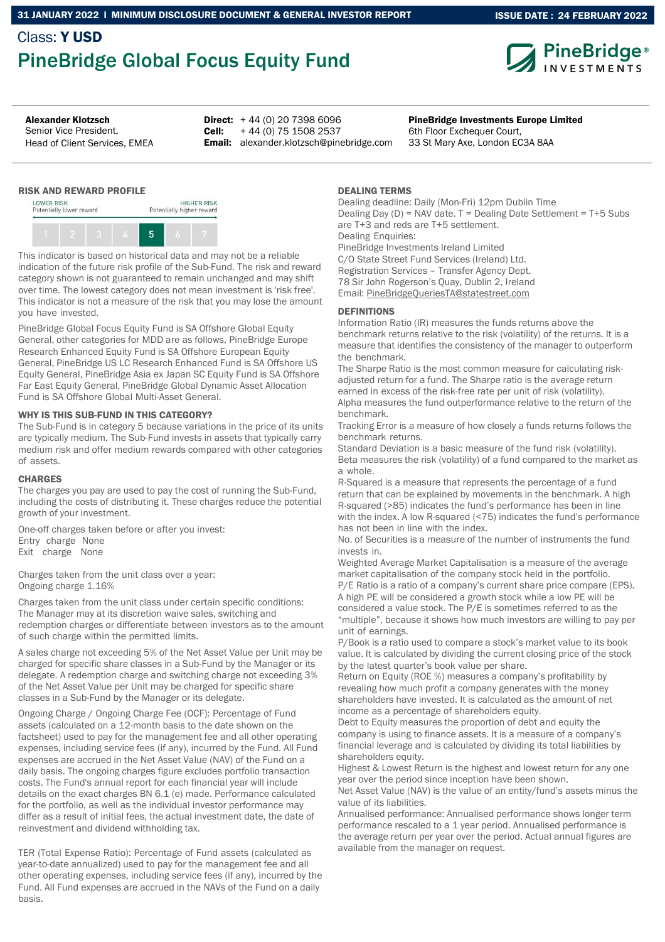## Class: Y USD PineBridge Global Focus Equity Fund



ISSUE DATE : 24 FEBRUARY 2022

Senior Vice President, Head of Client Services, EMEA

Alexander Klotzsch **PineBridge Investments Europe Limited PineBridge Investments Europe Limited Direct:**  $+44(0)$  20 7398 6096 Cell: + 44 (0) 75 1508 2537

Email: alexander.klotzsch@pinebridge.com

RISK AND REWARD PROFILE



This indicator is based on historical data and may not be a reliable indication of the future risk profile of the Sub-Fund. The risk and reward category shown is not guaranteed to remain unchanged and may shift over time. The lowest category does not mean investment is 'risk free'. This indicator is not a measure of the risk that you may lose the amount you have invested.

PineBridge Global Focus Equity Fund is SA Offshore Global Equity General, other categories for MDD are as follows, PineBridge Europe Research Enhanced Equity Fund is SA Offshore European Equity General, PineBridge US LC Research Enhanced Fund is SA Offshore US Equity General, PineBridge Asia ex Japan SC Equity Fund is SA Offshore Far East Equity General, PineBridge Global Dynamic Asset Allocation Fund is SA Offshore Global Multi-Asset General.

### WHY IS THIS SUB-FUND IN THIS CATEGORY?

The Sub-Fund is in category 5 because variations in the price of its units are typically medium. The Sub-Fund invests in assets that typically carry medium risk and offer medium rewards compared with other categories of assets.

### **CHARGES**

The charges you pay are used to pay the cost of running the Sub-Fund, including the costs of distributing it. These charges reduce the potential growth of your investment.

One-off charges taken before or after you invest: Entry charge None Exit charge None

Charges taken from the unit class over a year: Ongoing charge 1.16%

Charges taken from the unit class under certain specific conditions: The Manager may at its discretion waive sales, switching and redemption charges or differentiate between investors as to the amount of such charge within the permitted limits.

A sales charge not exceeding 5% of the Net Asset Value per Unit may be charged for specific share classes in a Sub-Fund by the Manager or its delegate. A redemption charge and switching charge not exceeding 3% of the Net Asset Value per Unit may be charged for specific share classes in a Sub-Fund by the Manager or its delegate.

Ongoing Charge / Ongoing Charge Fee (OCF): Percentage of Fund assets (calculated on a 12-month basis to the date shown on the factsheet) used to pay for the management fee and all other operating expenses, including service fees (if any), incurred by the Fund. All Fund expenses are accrued in the Net Asset Value (NAV) of the Fund on a daily basis. The ongoing charges figure excludes portfolio transaction costs. The Fund's annual report for each financial year will include details on the exact charges BN 6.1 (e) made. Performance calculated for the portfolio, as well as the individual investor performance may differ as a result of initial fees, the actual investment date, the date of reinvestment and dividend withholding tax.

TER (Total Expense Ratio): Percentage of Fund assets (calculated as year-to-date annualized) used to pay for the management fee and all other operating expenses, including service fees (if any), incurred by the Fund. All Fund expenses are accrued in the NAVs of the Fund on a daily basis.

### DEALING TERMS

Dealing deadline: Daily (Mon-Fri) 12pm Dublin Time Dealing Day (D) = NAV date. T = Dealing Date Settlement = T+5 Subs are T+3 and reds are T+5 settlement. Dealing Enquiries: PineBridge Investments Ireland Limited C/O State Street Fund Services (Ireland) Ltd. Registration Services – Transfer Agency Dept. 78 Sir John Rogerson's Quay, Dublin 2, Ireland Email: PineBridgeQueriesTA@statestreet.com

6th Floor Exchequer Court, 33 St Mary Axe, London EC3A 8AA

### DEFINITIONS

Information Ratio (IR) measures the funds returns above the benchmark returns relative to the risk (volatility) of the returns. It is a measure that identifies the consistency of the manager to outperform the benchmark.

The Sharpe Ratio is the most common measure for calculating riskadjusted return for a fund. The Sharpe ratio is the average return earned in excess of the risk-free rate per unit of risk (volatility). Alpha measures the fund outperformance relative to the return of the benchmark.

Tracking Error is a measure of how closely a funds returns follows the benchmark returns.

Standard Deviation is a basic measure of the fund risk (volatility). Beta measures the risk (volatility) of a fund compared to the market as a whole.

R-Squared is a measure that represents the percentage of a fund return that can be explained by movements in the benchmark. A high R-squared (>85) indicates the fund's performance has been in line with the index. A low R-squared (<75) indicates the fund's performance has not been in line with the index.

No. of Securities is a measure of the number of instruments the fund invests in.

Weighted Average Market Capitalisation is a measure of the average market capitalisation of the company stock held in the portfolio. P/E Ratio is a ratio of a company's current share price compare (EPS). A high PE will be considered a growth stock while a low PE will be considered a value stock. The P/E is sometimes referred to as the "multiple", because it shows how much investors are willing to pay per unit of earnings.

P/Book is a ratio used to compare a stock's market value to its book value. It is calculated by dividing the current closing price of the stock by the latest quarter's book value per share.

Return on Equity (ROE %) measures a company's profitability by revealing how much profit a company generates with the money shareholders have invested. It is calculated as the amount of net income as a percentage of shareholders equity.

Debt to Equity measures the proportion of debt and equity the company is using to finance assets. It is a measure of a company's financial leverage and is calculated by dividing its total liabilities by shareholders equity.

Highest & Lowest Return is the highest and lowest return for any one year over the period since inception have been shown.

Net Asset Value (NAV) is the value of an entity/fund's assets minus the value of its liabilities.

Annualised performance: Annualised performance shows longer term performance rescaled to a 1 year period. Annualised performance is the average return per year over the period. Actual annual figures are available from the manager on request.